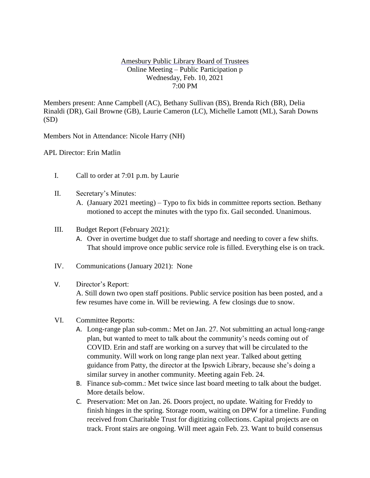## Amesbury Public Library Board of Trustees Online Meeting – Public Participation p Wednesday, Feb. 10, 2021 7:00 PM

Members present: Anne Campbell (AC), Bethany Sullivan (BS), Brenda Rich (BR), Delia Rinaldi (DR), Gail Browne (GB), Laurie Cameron (LC), Michelle Lamott (ML), Sarah Downs (SD)

Members Not in Attendance: Nicole Harry (NH)

APL Director: Erin Matlin

- I. Call to order at 7:01 p.m. by Laurie
- II. Secretary's Minutes:
	- A. (January 2021 meeting) Typo to fix bids in committee reports section. Bethany motioned to accept the minutes with the typo fix. Gail seconded. Unanimous.
- III. Budget Report (February 2021):
	- A. Over in overtime budget due to staff shortage and needing to cover a few shifts. That should improve once public service role is filled. Everything else is on track.
- IV. Communications (January 2021): None

## V. Director's Report:

A. Still down two open staff positions. Public service position has been posted, and a few resumes have come in. Will be reviewing. A few closings due to snow.

- VI. Committee Reports:
	- A. Long-range plan sub-comm.: Met on Jan. 27. Not submitting an actual long-range plan, but wanted to meet to talk about the community's needs coming out of COVID. Erin and staff are working on a survey that will be circulated to the community. Will work on long range plan next year. Talked about getting guidance from Patty, the director at the Ipswich Library, because she's doing a similar survey in another community. Meeting again Feb. 24.
	- B. Finance sub-comm.: Met twice since last board meeting to talk about the budget. More details below.
	- C. Preservation: Met on Jan. 26. Doors project, no update. Waiting for Freddy to finish hinges in the spring. Storage room, waiting on DPW for a timeline. Funding received from Charitable Trust for digitizing collections. Capital projects are on track. Front stairs are ongoing. Will meet again Feb. 23. Want to build consensus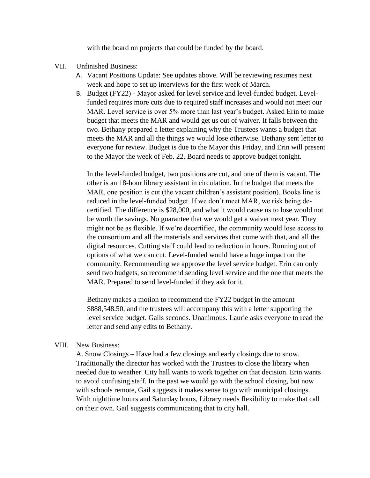with the board on projects that could be funded by the board.

## VII. Unfinished Business:

- A. Vacant Positions Update: See updates above. Will be reviewing resumes next week and hope to set up interviews for the first week of March.
- B. Budget (FY22) Mayor asked for level service and level-funded budget. Levelfunded requires more cuts due to required staff increases and would not meet our MAR. Level service is over 5% more than last year's budget. Asked Erin to make budget that meets the MAR and would get us out of waiver. It falls between the two. Bethany prepared a letter explaining why the Trustees wants a budget that meets the MAR and all the things we would lose otherwise. Bethany sent letter to everyone for review. Budget is due to the Mayor this Friday, and Erin will present to the Mayor the week of Feb. 22. Board needs to approve budget tonight.

In the level-funded budget, two positions are cut, and one of them is vacant. The other is an 18-hour library assistant in circulation. In the budget that meets the MAR, one position is cut (the vacant children's assistant position). Books line is reduced in the level-funded budget. If we don't meet MAR, we risk being decertified. The difference is \$28,000, and what it would cause us to lose would not be worth the savings. No guarantee that we would get a waiver next year. They might not be as flexible. If we're decertified, the community would lose access to the consortium and all the materials and services that come with that, and all the digital resources. Cutting staff could lead to reduction in hours. Running out of options of what we can cut. Level-funded would have a huge impact on the community. Recommending we approve the level service budget. Erin can only send two budgets, so recommend sending level service and the one that meets the MAR. Prepared to send level-funded if they ask for it.

Bethany makes a motion to recommend the FY22 budget in the amount \$888,548.50, and the trustees will accompany this with a letter supporting the level service budget. Gails seconds. Unanimous. Laurie asks everyone to read the letter and send any edits to Bethany.

## VIII. New Business:

A. Snow Closings – Have had a few closings and early closings due to snow. Traditionally the director has worked with the Trustees to close the library when needed due to weather. City hall wants to work together on that decision. Erin wants to avoid confusing staff. In the past we would go with the school closing, but now with schools remote, Gail suggests it makes sense to go with municipal closings. With nighttime hours and Saturday hours, Library needs flexibility to make that call on their own. Gail suggests communicating that to city hall.